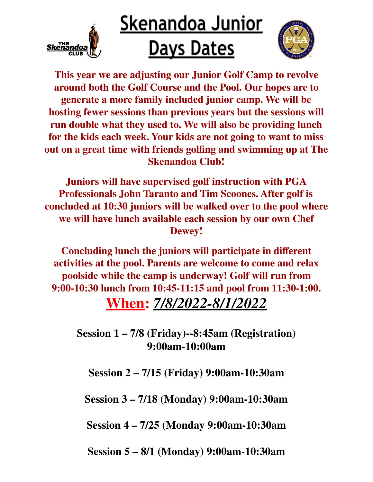

## <u>Skenandoa Junior</u> **Days Dates**



**This year we are adjusting our Junior Golf Camp to revolve around both the Golf Course and the Pool. Our hopes are to generate a more family included junior camp. We will be hosting fewer sessions than previous years but the sessions will run double what they used to. We will also be providing lunch for the kids each week. Your kids are not going to want to miss out on a great time with friends golfing and swimming up at The Skenandoa Club!**

**Juniors will have supervised golf instruction with PGA Professionals John Taranto and Tim Scoones. After golf is concluded at 10:30 juniors will be walked over to the pool where we will have lunch available each session by our own Chef Dewey!**

**Concluding lunch the juniors will participate in different activities at the pool. Parents are welcome to come and relax poolside while the camp is underway! Golf will run from 9:00-10:30 lunch from 10:45-11:15 and pool from 11:30-1:00. When:** *7/8/2022-8/1/2022*

**Session 1 – 7/8 (Friday)--8:45am (Registration) 9:00am-10:00am**

**Session 2 – 7/15 (Friday) 9:00am-10:30am**

**Session 3 – 7/18 (Monday) 9:00am-10:30am**

**Session 4 – 7/25 (Monday 9:00am-10:30am**

**Session 5 – 8/1 (Monday) 9:00am-10:30am**